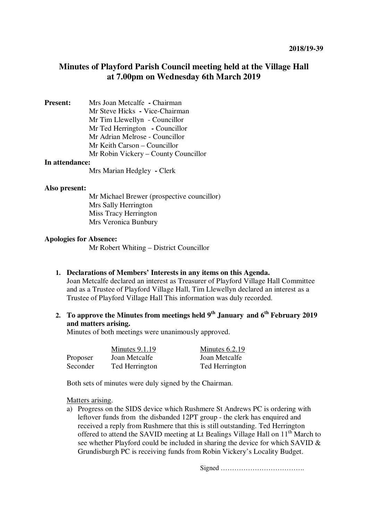# **Minutes of Playford Parish Council meeting held at the Village Hall at 7.00pm on Wednesday 6th March 2019**

| <b>Present:</b>                                                                                             | Mrs Joan Metcalfe - Chairman         |
|-------------------------------------------------------------------------------------------------------------|--------------------------------------|
|                                                                                                             | Mr Steve Hicks - Vice-Chairman       |
|                                                                                                             | Mr Tim Llewellyn - Councillor        |
|                                                                                                             | Mr Ted Herrington - Councillor       |
|                                                                                                             | Mr Adrian Melrose - Councillor       |
|                                                                                                             | Mr Keith Carson – Councillor         |
|                                                                                                             | Mr Robin Vickery – County Councillor |
| $\mathbf{I}$ <sub>22</sub> $\alpha$ 44 $\alpha$ <sub>22</sub> $\alpha$ <sub>22</sub> $\alpha$ <sub>22</sub> |                                      |

#### **In attendance:**

Mrs Marian Hedgley **-** Clerk

#### **Also present:**

 Mr Michael Brewer (prospective councillor) Mrs Sally Herrington Miss Tracy Herrington Mrs Veronica Bunbury

#### **Apologies for Absence:**

Mr Robert Whiting – District Councillor

**1. Declarations of Members' Interests in any items on this Agenda.** 

Joan Metcalfe declared an interest as Treasurer of Playford Village Hall Committee and as a Trustee of Playford Village Hall, Tim Llewellyn declared an interest as a Trustee of Playford Village Hall This information was duly recorded.

**2. To approve the Minutes from meetings held 9th January and 6th February 2019 and matters arising.** 

Minutes of both meetings were unanimously approved.

|          | Minutes $9.1.19$ | Minutes $6.2.19$ |
|----------|------------------|------------------|
| Proposer | Joan Metcalfe    | Joan Metcalfe    |
| Seconder | Ted Herrington   | Ted Herrington   |

Both sets of minutes were duly signed by the Chairman.

Matters arising.

a) Progress on the SIDS device which Rushmere St Andrews PC is ordering with leftover funds from the disbanded 12PT group - the clerk has enquired and received a reply from Rushmere that this is still outstanding. Ted Herrington offered to attend the SAVID meeting at Lt Bealings Village Hall on 11<sup>th</sup> March to see whether Playford could be included in sharing the device for which SAVID & Grundisburgh PC is receiving funds from Robin Vickery's Locality Budget.

Signed ……………………………….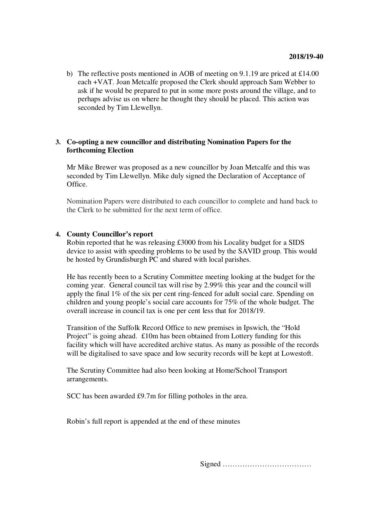b) The reflective posts mentioned in AOB of meeting on 9.1.19 are priced at £14.00 each +VAT. Joan Metcalfe proposed the Clerk should approach Sam Webber to ask if he would be prepared to put in some more posts around the village, and to perhaps advise us on where he thought they should be placed. This action was seconded by Tim Llewellyn.

# **3. Co-opting a new councillor and distributing Nomination Papers for the forthcoming Election**

Mr Mike Brewer was proposed as a new councillor by Joan Metcalfe and this was seconded by Tim Llewellyn. Mike duly signed the Declaration of Acceptance of Office.

Nomination Papers were distributed to each councillor to complete and hand back to the Clerk to be submitted for the next term of office.

## **4. County Councillor's report**

Robin reported that he was releasing £3000 from his Locality budget for a SIDS device to assist with speeding problems to be used by the SAVID group. This would be hosted by Grundisburgh PC and shared with local parishes.

He has recently been to a Scrutiny Committee meeting looking at the budget for the coming year. General council tax will rise by 2.99% this year and the council will apply the final 1% of the six per cent ring-fenced for adult social care. Spending on children and young people's social care accounts for 75% of the whole budget. The overall increase in council tax is one per cent less that for 2018/19.

Transition of the Suffolk Record Office to new premises in Ipswich, the "Hold Project" is going ahead. £10m has been obtained from Lottery funding for this facility which will have accredited archive status. As many as possible of the records will be digitalised to save space and low security records will be kept at Lowestoft.

The Scrutiny Committee had also been looking at Home/School Transport arrangements.

SCC has been awarded £9.7m for filling potholes in the area.

Robin's full report is appended at the end of these minutes

Signed ………………………………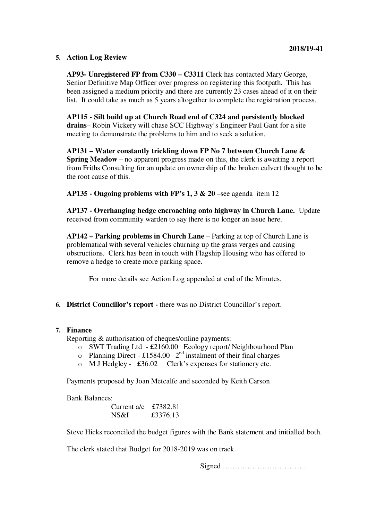# **5. Action Log Review**

**AP93- Unregistered FP from C330 – C3311** Clerk has contacted Mary George, Senior Definitive Map Officer over progress on registering this footpath. This has been assigned a medium priority and there are currently 23 cases ahead of it on their list. It could take as much as 5 years altogether to complete the registration process.

**AP115 - Silt build up at Church Road end of C324 and persistently blocked drains**– Robin Vickery will chase SCC Highway's Engineer Paul Gant for a site meeting to demonstrate the problems to him and to seek a solution.

**AP131 – Water constantly trickling down FP No 7 between Church Lane & Spring Meadow** – no apparent progress made on this, the clerk is awaiting a report from Friths Consulting for an update on ownership of the broken culvert thought to be the root cause of this.

**AP135 - Ongoing problems with FP's 1, 3 & 20** –see agenda item 12

**AP137 - Overhanging hedge encroaching onto highway in Church Lane.** Update received from community warden to say there is no longer an issue here.

**AP142 – Parking problems in Church Lane** – Parking at top of Church Lane is problematical with several vehicles churning up the grass verges and causing obstructions. Clerk has been in touch with Flagship Housing who has offered to remove a hedge to create more parking space.

For more details see Action Log appended at end of the Minutes.

**6. District Councillor's report -** there was no District Councillor's report.

#### **7. Finance**

Reporting & authorisation of cheques/online payments:

- o SWT Trading Ltd £2160.00 Ecology report/ Neighbourhood Plan
- o Planning Direct £1584.00  $2<sup>nd</sup>$  instalment of their final charges
- o M J Hedgley £36.02 Clerk's expenses for stationery etc.

Payments proposed by Joan Metcalfe and seconded by Keith Carson

Bank Balances:

| Current $a/c$ | £7382.81 |
|---------------|----------|
| NS&I          | £3376.13 |

Steve Hicks reconciled the budget figures with the Bank statement and initialled both.

The clerk stated that Budget for 2018-2019 was on track.

Signed …………………………….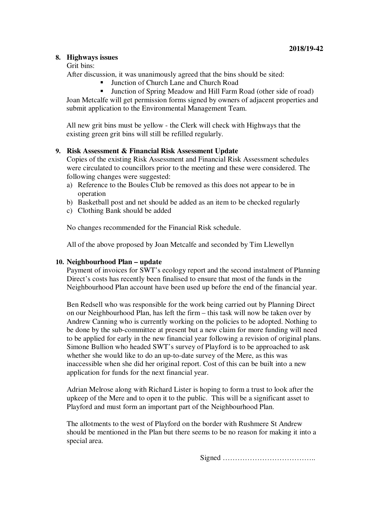## **8. Highways issues**

Grit bins:

After discussion, it was unanimously agreed that the bins should be sited:

- Junction of Church Lane and Church Road
- Junction of Spring Meadow and Hill Farm Road (other side of road)

Joan Metcalfe will get permission forms signed by owners of adjacent properties and submit application to the Environmental Management Team.

All new grit bins must be yellow - the Clerk will check with Highways that the existing green grit bins will still be refilled regularly.

## **9. Risk Assessment & Financial Risk Assessment Update**

Copies of the existing Risk Assessment and Financial Risk Assessment schedules were circulated to councillors prior to the meeting and these were considered. The following changes were suggested:

- a) Reference to the Boules Club be removed as this does not appear to be in operation
- b) Basketball post and net should be added as an item to be checked regularly
- c) Clothing Bank should be added

No changes recommended for the Financial Risk schedule.

All of the above proposed by Joan Metcalfe and seconded by Tim Llewellyn

#### **10. Neighbourhood Plan – update**

Payment of invoices for SWT's ecology report and the second instalment of Planning Direct's costs has recently been finalised to ensure that most of the funds in the Neighbourhood Plan account have been used up before the end of the financial year.

Ben Redsell who was responsible for the work being carried out by Planning Direct on our Neighbourhood Plan, has left the firm – this task will now be taken over by Andrew Canning who is currently working on the policies to be adopted. Nothing to be done by the sub-committee at present but a new claim for more funding will need to be applied for early in the new financial year following a revision of original plans. Simone Bullion who headed SWT's survey of Playford is to be approached to ask whether she would like to do an up-to-date survey of the Mere, as this was inaccessible when she did her original report. Cost of this can be built into a new application for funds for the next financial year.

Adrian Melrose along with Richard Lister is hoping to form a trust to look after the upkeep of the Mere and to open it to the public. This will be a significant asset to Playford and must form an important part of the Neighbourhood Plan.

The allotments to the west of Playford on the border with Rushmere St Andrew should be mentioned in the Plan but there seems to be no reason for making it into a special area.

Signed ………………………………..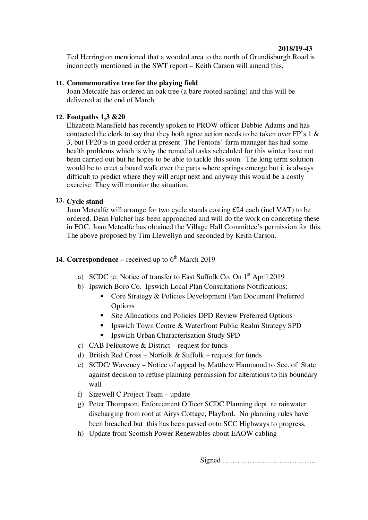## **2018/19-43**

Ted Herrington mentioned that a wooded area to the north of Grundisburgh Road is incorrectly mentioned in the SWT report – Keith Carson will amend this.

## **11. Commemorative tree for the playing field**

Joan Metcalfe has ordered an oak tree (a bare rooted sapling) and this will be delivered at the end of March.

## **12. Footpaths 1,3 &20**

Elizabeth Mansfield has recently spoken to PROW officer Debbie Adams and has contacted the clerk to say that they both agree action needs to be taken over FP's 1 & 3, but FP20 is in good order at present. The Fentons' farm manager has had some health problems which is why the remedial tasks scheduled for this winter have not been carried out but he hopes to be able to tackle this soon. The long term solution would be to erect a board walk over the parts where springs emerge but it is always difficult to predict where they will erupt next and anyway this would be a costly exercise. They will monitor the situation.

## **13. Cycle stand**

Joan Metcalfe will arrange for two cycle stands costing £24 each (incl VAT) to be ordered. Dean Fulcher has been approached and will do the work on concreting these in FOC. Joan Metcalfe has obtained the Village Hall Committee's permission for this. The above proposed by Tim Llewellyn and seconded by Keith Carson.

# **14. Correspondence –** received up to  $6<sup>th</sup>$  March 2019

- a) SCDC re: Notice of transfer to East Suffolk Co. On 1st April 2019
- b) Ipswich Boro Co. Ipswich Local Plan Consultations Notifications:
	- Core Strategy & Policies Development Plan Document Preferred Options
	- Site Allocations and Policies DPD Review Preferred Options
	- **IDED** Ipswich Town Centre & Waterfront Public Realm Strategy SPD
	- Ipswich Urban Characterisation Study SPD
- c) CAB Felixstowe & District request for funds
- d) British Red Cross Norfolk & Suffolk request for funds
- e) SCDC/ Waveney Notice of appeal by Matthew Hammond to Sec. of State against decision to refuse planning permission for alterations to his boundary wall
- f) Sizewell C Project Team update
- g) Peter Thompson, Enforcement Officer SCDC Planning dept. re rainwater discharging from roof at Airys Cottage, Playford. No planning rules have been breached but this has been passed onto SCC Highways to progress,
- h) Update from Scottish Power Renewables about EAOW cabling

Signed ………………………………..